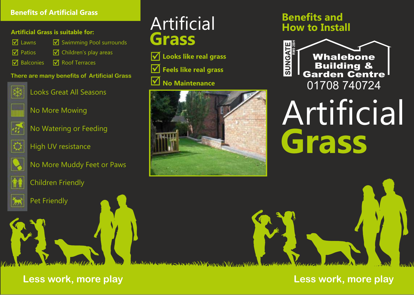#### **Benefits of Artificial Grass**

#### **Artificial Grass is suitable for:**

| $\sqrt{ }$ Lawns | ■ Swimming Pool surrounds                                               |
|------------------|-------------------------------------------------------------------------|
| $\nabla$ Patios  | $\sqrt{2}$ Children's play areas                                        |
|                  | $\overline{\mathsf{M}}$ Balconies $\overline{\mathsf{M}}$ Roof Terraces |

#### **There are many benefits of Artificial Grass**



Looks Great All Seasons



No More Mowing



No Watering or Feeding



High UV resistance



No More Muddy Feet or Paws



Children Friendly



Pet Friendly

# **Grass** Artificial

**Looks like real grass M** Feels like real grass **No Maintenance**



# **Benefits and How to Install**



# **Grass** Artificial

 $\mathcal{M}(\mathbb{R}^n) > \mathcal{N}(\mathbb{R}^n)$ 

**Less work, more play**

**Less work, more play**